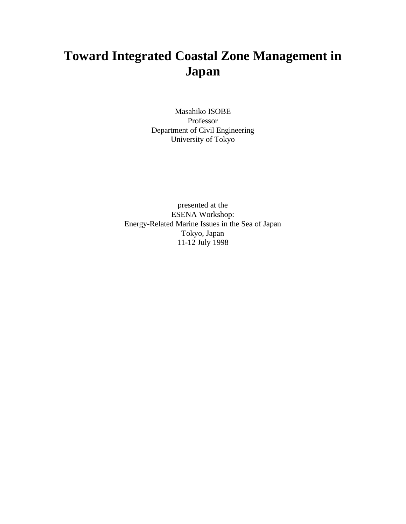# **Toward Integrated Coastal Zone Management in Japan**

Masahiko ISOBE Professor Department of Civil Engineering University of Tokyo

presented at the ESENA Workshop: Energy-Related Marine Issues in the Sea of Japan Tokyo, Japan 11-12 July 1998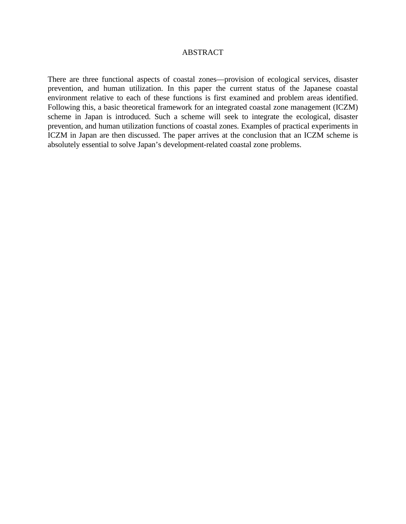#### ABSTRACT

There are three functional aspects of coastal zones—provision of ecological services, disaster prevention, and human utilization. In this paper the current status of the Japanese coastal environment relative to each of these functions is first examined and problem areas identified. Following this, a basic theoretical framework for an integrated coastal zone management (ICZM) scheme in Japan is introduced. Such a scheme will seek to integrate the ecological, disaster prevention, and human utilization functions of coastal zones. Examples of practical experiments in ICZM in Japan are then discussed. The paper arrives at the conclusion that an ICZM scheme is absolutely essential to solve Japan's development-related coastal zone problems.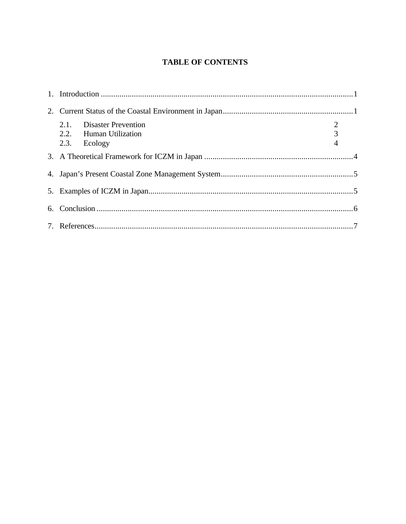### **TABLE OF CONTENTS**

| 2.1. Disaster Prevention | $\overline{2}$ |  |
|--------------------------|----------------|--|
| 2.2. Human Utilization   | $\overline{3}$ |  |
| 2.3. Ecology             | $\overline{4}$ |  |
|                          |                |  |
|                          |                |  |
|                          |                |  |
|                          |                |  |
|                          |                |  |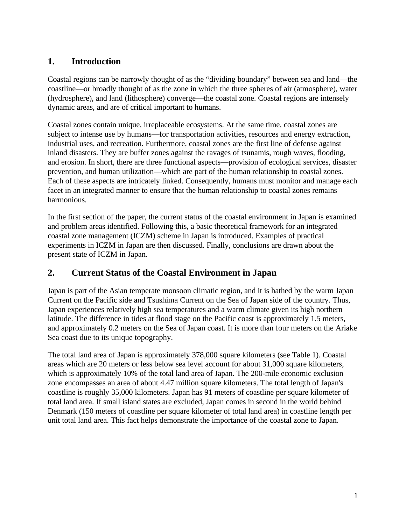## **1. Introduction**

Coastal regions can be narrowly thought of as the "dividing boundary" between sea and land—the coastline—or broadly thought of as the zone in which the three spheres of air (atmosphere), water (hydrosphere), and land (lithosphere) converge—the coastal zone. Coastal regions are intensely dynamic areas, and are of critical important to humans.

Coastal zones contain unique, irreplaceable ecosystems. At the same time, coastal zones are subject to intense use by humans—for transportation activities, resources and energy extraction, industrial uses, and recreation. Furthermore, coastal zones are the first line of defense against inland disasters. They are buffer zones against the ravages of tsunamis, rough waves, flooding, and erosion. In short, there are three functional aspects—provision of ecological services, disaster prevention, and human utilization—which are part of the human relationship to coastal zones. Each of these aspects are intricately linked. Consequently, humans must monitor and manage each facet in an integrated manner to ensure that the human relationship to coastal zones remains harmonious.

In the first section of the paper, the current status of the coastal environment in Japan is examined and problem areas identified. Following this, a basic theoretical framework for an integrated coastal zone management (ICZM) scheme in Japan is introduced. Examples of practical experiments in ICZM in Japan are then discussed. Finally, conclusions are drawn about the present state of ICZM in Japan.

## **2. Current Status of the Coastal Environment in Japan**

Japan is part of the Asian temperate monsoon climatic region, and it is bathed by the warm Japan Current on the Pacific side and Tsushima Current on the Sea of Japan side of the country. Thus, Japan experiences relatively high sea temperatures and a warm climate given its high northern latitude. The difference in tides at flood stage on the Pacific coast is approximately 1.5 meters, and approximately 0.2 meters on the Sea of Japan coast. It is more than four meters on the Ariake Sea coast due to its unique topography.

The total land area of Japan is approximately 378,000 square kilometers (see Table 1). Coastal areas which are 20 meters or less below sea level account for about 31,000 square kilometers, which is approximately 10% of the total land area of Japan. The 200-mile economic exclusion zone encompasses an area of about 4.47 million square kilometers. The total length of Japan's coastline is roughly 35,000 kilometers. Japan has 91 meters of coastline per square kilometer of total land area. If small island states are excluded, Japan comes in second in the world behind Denmark (150 meters of coastline per square kilometer of total land area) in coastline length per unit total land area. This fact helps demonstrate the importance of the coastal zone to Japan.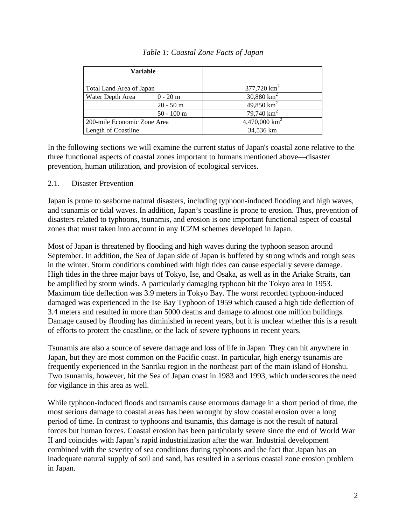| <b>Variable</b>                |                           |
|--------------------------------|---------------------------|
| Total Land Area of Japan       | $377,720$ km <sup>2</sup> |
| Water Depth Area<br>$0 - 20$ m | 30,880 $km^2$             |
| $20 - 50$ m                    | 49,850 $km^2$             |
| $50 - 100$ m                   | 79,740 $km^2$             |
| 200-mile Economic Zone Area    | 4,470,000 $km^2$          |
| Length of Coastline            | 34,536 km                 |

#### *Table 1: Coastal Zone Facts of Japan*

In the following sections we will examine the current status of Japan's coastal zone relative to the three functional aspects of coastal zones important to humans mentioned above—disaster prevention, human utilization, and provision of ecological services.

#### 2.1. Disaster Prevention

Japan is prone to seaborne natural disasters, including typhoon-induced flooding and high waves, and tsunamis or tidal waves. In addition, Japan's coastline is prone to erosion. Thus, prevention of disasters related to typhoons, tsunamis, and erosion is one important functional aspect of coastal zones that must taken into account in any ICZM schemes developed in Japan.

Most of Japan is threatened by flooding and high waves during the typhoon season around September. In addition, the Sea of Japan side of Japan is buffeted by strong winds and rough seas in the winter. Storm conditions combined with high tides can cause especially severe damage. High tides in the three major bays of Tokyo, Ise, and Osaka, as well as in the Ariake Straits, can be amplified by storm winds. A particularly damaging typhoon hit the Tokyo area in 1953. Maximum tide deflection was 3.9 meters in Tokyo Bay. The worst recorded typhoon-induced damaged was experienced in the Ise Bay Typhoon of 1959 which caused a high tide deflection of 3.4 meters and resulted in more than 5000 deaths and damage to almost one million buildings. Damage caused by flooding has diminished in recent years, but it is unclear whether this is a result of efforts to protect the coastline, or the lack of severe typhoons in recent years.

Tsunamis are also a source of severe damage and loss of life in Japan. They can hit anywhere in Japan, but they are most common on the Pacific coast. In particular, high energy tsunamis are frequently experienced in the Sanriku region in the northeast part of the main island of Honshu. Two tsunamis, however, hit the Sea of Japan coast in 1983 and 1993, which underscores the need for vigilance in this area as well.

While typhoon-induced floods and tsunamis cause enormous damage in a short period of time, the most serious damage to coastal areas has been wrought by slow coastal erosion over a long period of time. In contrast to typhoons and tsunamis, this damage is not the result of natural forces but human forces. Coastal erosion has been particularly severe since the end of World War II and coincides with Japan's rapid industrialization after the war. Industrial development combined with the severity of sea conditions during typhoons and the fact that Japan has an inadequate natural supply of soil and sand, has resulted in a serious coastal zone erosion problem in Japan.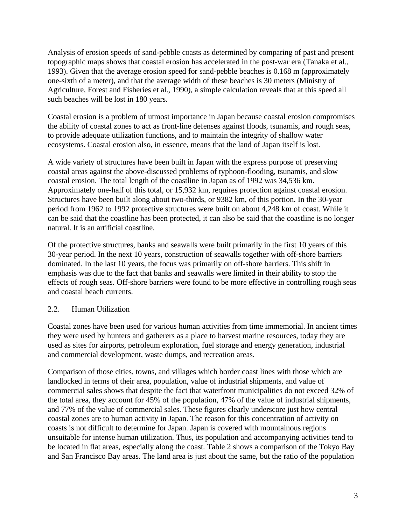Analysis of erosion speeds of sand-pebble coasts as determined by comparing of past and present topographic maps shows that coastal erosion has accelerated in the post-war era (Tanaka et al., 1993). Given that the average erosion speed for sand-pebble beaches is 0.168 m (approximately one-sixth of a meter), and that the average width of these beaches is 30 meters (Ministry of Agriculture, Forest and Fisheries et al., 1990), a simple calculation reveals that at this speed all such beaches will be lost in 180 years.

Coastal erosion is a problem of utmost importance in Japan because coastal erosion compromises the ability of coastal zones to act as front-line defenses against floods, tsunamis, and rough seas, to provide adequate utilization functions, and to maintain the integrity of shallow water ecosystems. Coastal erosion also, in essence, means that the land of Japan itself is lost.

A wide variety of structures have been built in Japan with the express purpose of preserving coastal areas against the above-discussed problems of typhoon-flooding, tsunamis, and slow coastal erosion. The total length of the coastline in Japan as of 1992 was 34,536 km. Approximately one-half of this total, or 15,932 km, requires protection against coastal erosion. Structures have been built along about two-thirds, or 9382 km, of this portion. In the 30-year period from 1962 to 1992 protective structures were built on about 4,248 km of coast. While it can be said that the coastline has been protected, it can also be said that the coastline is no longer natural. It is an artificial coastline.

Of the protective structures, banks and seawalls were built primarily in the first 10 years of this 30-year period. In the next 10 years, construction of seawalls together with off-shore barriers dominated. In the last 10 years, the focus was primarily on off-shore barriers. This shift in emphasis was due to the fact that banks and seawalls were limited in their ability to stop the effects of rough seas. Off-shore barriers were found to be more effective in controlling rough seas and coastal beach currents.

#### 2.2. Human Utilization

Coastal zones have been used for various human activities from time immemorial. In ancient times they were used by hunters and gatherers as a place to harvest marine resources, today they are used as sites for airports, petroleum exploration, fuel storage and energy generation, industrial and commercial development, waste dumps, and recreation areas.

Comparison of those cities, towns, and villages which border coast lines with those which are landlocked in terms of their area, population, value of industrial shipments, and value of commercial sales shows that despite the fact that waterfront municipalities do not exceed 32% of the total area, they account for 45% of the population, 47% of the value of industrial shipments, and 77% of the value of commercial sales. These figures clearly underscore just how central coastal zones are to human activity in Japan. The reason for this concentration of activity on coasts is not difficult to determine for Japan. Japan is covered with mountainous regions unsuitable for intense human utilization. Thus, its population and accompanying activities tend to be located in flat areas, especially along the coast. Table 2 shows a comparison of the Tokyo Bay and San Francisco Bay areas. The land area is just about the same, but the ratio of the population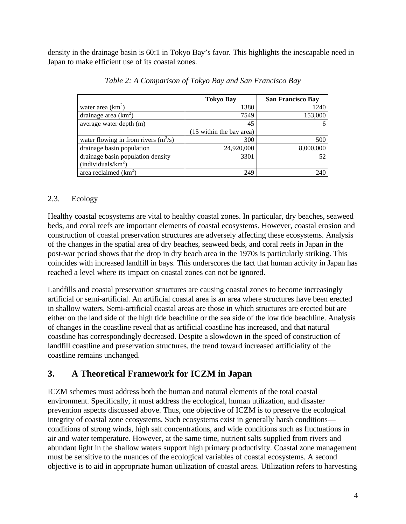density in the drainage basin is 60:1 in Tokyo Bay's favor. This highlights the inescapable need in Japan to make efficient use of its coastal zones.

|                                        | <b>Tokyo Bay</b>         | <b>San Francisco Bay</b> |
|----------------------------------------|--------------------------|--------------------------|
| water area $(km^2)$                    | 1380                     | 1240                     |
| drainage area $(km2)$                  | 7549                     | 153,000                  |
| average water depth (m)                | 45                       | 6                        |
|                                        | (15 within the bay area) |                          |
| water flowing in from rivers $(m^3/s)$ | 300                      | 500                      |
| drainage basin population              | 24,920,000               | 8,000,000                |
| drainage basin population density      | 3301                     |                          |
| (individuals/ $km^2$ )                 |                          |                          |
| area reclaimed $(km^2)$                | 249                      | 240                      |

*Table 2: A Comparison of Tokyo Bay and San Francisco Bay*

#### 2.3. Ecology

Healthy coastal ecosystems are vital to healthy coastal zones. In particular, dry beaches, seaweed beds, and coral reefs are important elements of coastal ecosystems. However, coastal erosion and construction of coastal preservation structures are adversely affecting these ecosystems. Analysis of the changes in the spatial area of dry beaches, seaweed beds, and coral reefs in Japan in the post-war period shows that the drop in dry beach area in the 1970s is particularly striking. This coincides with increased landfill in bays. This underscores the fact that human activity in Japan has reached a level where its impact on coastal zones can not be ignored.

Landfills and coastal preservation structures are causing coastal zones to become increasingly artificial or semi-artificial. An artificial coastal area is an area where structures have been erected in shallow waters. Semi-artificial coastal areas are those in which structures are erected but are either on the land side of the high tide beachline or the sea side of the low tide beachline. Analysis of changes in the coastline reveal that as artificial coastline has increased, and that natural coastline has correspondingly decreased. Despite a slowdown in the speed of construction of landfill coastline and preservation structures, the trend toward increased artificiality of the coastline remains unchanged.

## **3. A Theoretical Framework for ICZM in Japan**

ICZM schemes must address both the human and natural elements of the total coastal environment. Specifically, it must address the ecological, human utilization, and disaster prevention aspects discussed above. Thus, one objective of ICZM is to preserve the ecological integrity of coastal zone ecosystems. Such ecosystems exist in generally harsh conditions conditions of strong winds, high salt concentrations, and wide conditions such as fluctuations in air and water temperature. However, at the same time, nutrient salts supplied from rivers and abundant light in the shallow waters support high primary productivity. Coastal zone management must be sensitive to the nuances of the ecological variables of coastal ecosystems. A second objective is to aid in appropriate human utilization of coastal areas. Utilization refers to harvesting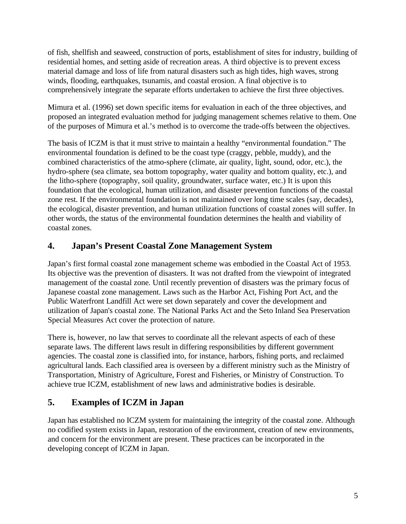of fish, shellfish and seaweed, construction of ports, establishment of sites for industry, building of residential homes, and setting aside of recreation areas. A third objective is to prevent excess material damage and loss of life from natural disasters such as high tides, high waves, strong winds, flooding, earthquakes, tsunamis, and coastal erosion. A final objective is to comprehensively integrate the separate efforts undertaken to achieve the first three objectives.

Mimura et al. (1996) set down specific items for evaluation in each of the three objectives, and proposed an integrated evaluation method for judging management schemes relative to them. One of the purposes of Mimura et al.'s method is to overcome the trade-offs between the objectives.

The basis of ICZM is that it must strive to maintain a healthy "environmental foundation." The environmental foundation is defined to be the coast type (craggy, pebble, muddy), and the combined characteristics of the atmo-sphere (climate, air quality, light, sound, odor, etc.), the hydro-sphere (sea climate, sea bottom topography, water quality and bottom quality, etc.), and the litho-sphere (topography, soil quality, groundwater, surface water, etc.) It is upon this foundation that the ecological, human utilization, and disaster prevention functions of the coastal zone rest. If the environmental foundation is not maintained over long time scales (say, decades), the ecological, disaster prevention, and human utilization functions of coastal zones will suffer. In other words, the status of the environmental foundation determines the health and viability of coastal zones.

## **4. Japan's Present Coastal Zone Management System**

Japan's first formal coastal zone management scheme was embodied in the Coastal Act of 1953. Its objective was the prevention of disasters. It was not drafted from the viewpoint of integrated management of the coastal zone. Until recently prevention of disasters was the primary focus of Japanese coastal zone management. Laws such as the Harbor Act, Fishing Port Act, and the Public Waterfront Landfill Act were set down separately and cover the development and utilization of Japan's coastal zone. The National Parks Act and the Seto Inland Sea Preservation Special Measures Act cover the protection of nature.

There is, however, no law that serves to coordinate all the relevant aspects of each of these separate laws. The different laws result in differing responsibilities by different government agencies. The coastal zone is classified into, for instance, harbors, fishing ports, and reclaimed agricultural lands. Each classified area is overseen by a different ministry such as the Ministry of Transportation, Ministry of Agriculture, Forest and Fisheries, or Ministry of Construction. To achieve true ICZM, establishment of new laws and administrative bodies is desirable.

## **5. Examples of ICZM in Japan**

Japan has established no ICZM system for maintaining the integrity of the coastal zone. Although no codified system exists in Japan, restoration of the environment, creation of new environments, and concern for the environment are present. These practices can be incorporated in the developing concept of ICZM in Japan.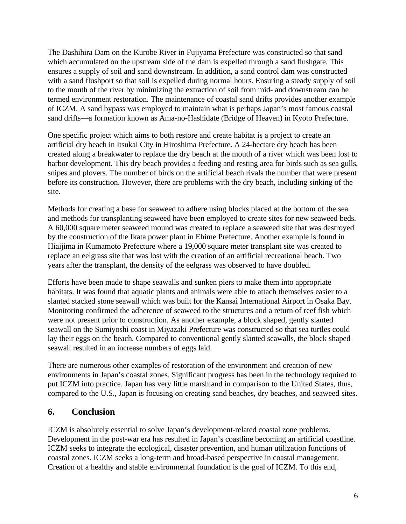The Dashihira Dam on the Kurobe River in Fujiyama Prefecture was constructed so that sand which accumulated on the upstream side of the dam is expelled through a sand flushgate. This ensures a supply of soil and sand downstream. In addition, a sand control dam was constructed with a sand flushport so that soil is expelled during normal hours. Ensuring a steady supply of soil to the mouth of the river by minimizing the extraction of soil from mid- and downstream can be termed environment restoration. The maintenance of coastal sand drifts provides another example of ICZM. A sand bypass was employed to maintain what is perhaps Japan's most famous coastal sand drifts—a formation known as Ama-no-Hashidate (Bridge of Heaven) in Kyoto Prefecture.

One specific project which aims to both restore and create habitat is a project to create an artificial dry beach in Itsukai City in Hiroshima Prefecture. A 24-hectare dry beach has been created along a breakwater to replace the dry beach at the mouth of a river which was been lost to harbor development. This dry beach provides a feeding and resting area for birds such as sea gulls, snipes and plovers. The number of birds on the artificial beach rivals the number that were present before its construction. However, there are problems with the dry beach, including sinking of the site.

Methods for creating a base for seaweed to adhere using blocks placed at the bottom of the sea and methods for transplanting seaweed have been employed to create sites for new seaweed beds. A 60,000 square meter seaweed mound was created to replace a seaweed site that was destroyed by the construction of the Ikata power plant in Ehime Prefecture. Another example is found in Hiaijima in Kumamoto Prefecture where a 19,000 square meter transplant site was created to replace an eelgrass site that was lost with the creation of an artificial recreational beach. Two years after the transplant, the density of the eelgrass was observed to have doubled.

Efforts have been made to shape seawalls and sunken piers to make them into appropriate habitats. It was found that aquatic plants and animals were able to attach themselves easier to a slanted stacked stone seawall which was built for the Kansai International Airport in Osaka Bay. Monitoring confirmed the adherence of seaweed to the structures and a return of reef fish which were not present prior to construction. As another example, a block shaped, gently slanted seawall on the Sumiyoshi coast in Miyazaki Prefecture was constructed so that sea turtles could lay their eggs on the beach. Compared to conventional gently slanted seawalls, the block shaped seawall resulted in an increase numbers of eggs laid.

There are numerous other examples of restoration of the environment and creation of new environments in Japan's coastal zones. Significant progress has been in the technology required to put ICZM into practice. Japan has very little marshland in comparison to the United States, thus, compared to the U.S., Japan is focusing on creating sand beaches, dry beaches, and seaweed sites.

## **6. Conclusion**

ICZM is absolutely essential to solve Japan's development-related coastal zone problems. Development in the post-war era has resulted in Japan's coastline becoming an artificial coastline. ICZM seeks to integrate the ecological, disaster prevention, and human utilization functions of coastal zones. ICZM seeks a long-term and broad-based perspective in coastal management. Creation of a healthy and stable environmental foundation is the goal of ICZM. To this end,